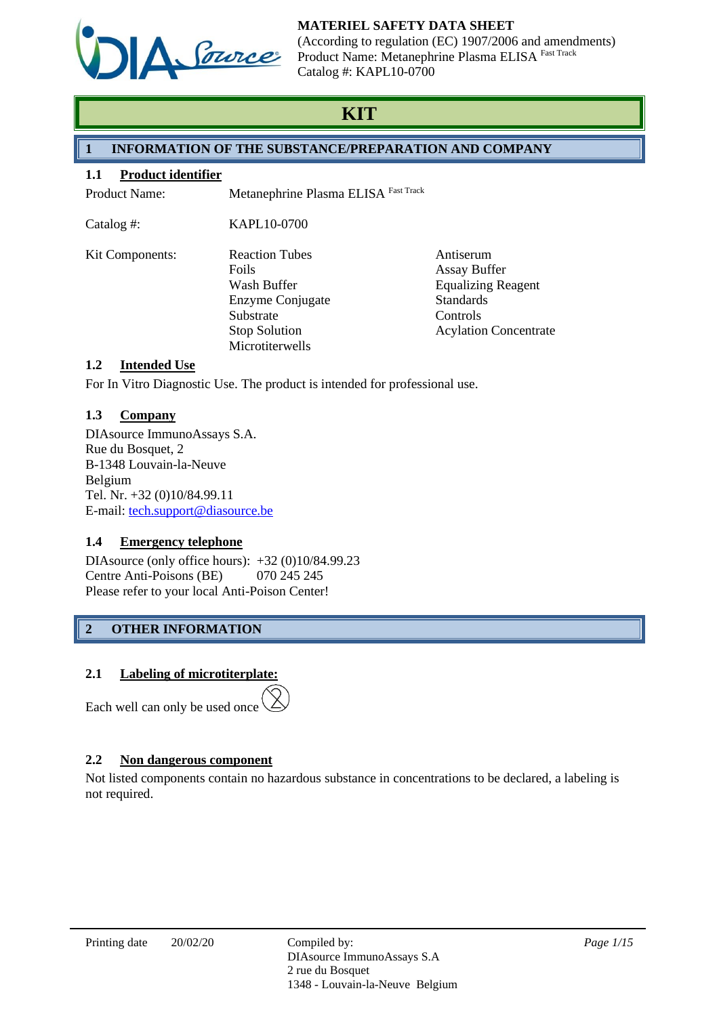

(According to regulation (EC) 1907/2006 and amendments) Product Name: Metanephrine Plasma ELISA Fast Track Catalog #: KAPL10-0700

# **KIT**

# **1 INFORMATION OF THE SUBSTANCE/PREPARATION AND COMPANY**

## **1.1 Product identifier**

Product Name: Metanephrine Plasma ELISA Fast Track

Catalog #: KAPL10-0700

| Kit Components: | <b>Reaction Tubes</b> | Antiserum                    |
|-----------------|-----------------------|------------------------------|
|                 | Foils                 | <b>Assay Buffer</b>          |
|                 | Wash Buffer           | <b>Equalizing Reagent</b>    |
|                 | Enzyme Conjugate      | <b>Standards</b>             |
|                 | Substrate             | Controls                     |
|                 | <b>Stop Solution</b>  | <b>Acylation Concentrate</b> |
|                 | Microtiterwells       |                              |

# **1.2 Intended Use**

For In Vitro Diagnostic Use. The product is intended for professional use.

# **1.3 Company**

DIAsource ImmunoAssays S.A. Rue du Bosquet, 2 B-1348 Louvain-la-Neuve Belgium Tel. Nr. +32 (0)10/84.99.11 E-mail: [tech.support@diasource.be](mailto:tech.support@diasource.be)

# **1.4 Emergency telephone**

DIAsource (only office hours): +32 (0)10/84.99.23 Centre Anti-Poisons (BE) 070 245 245 Please refer to your local Anti-Poison Center!

# **2 OTHER INFORMATION**

# **2.1 Labeling of microtiterplate:**

Each well can only be used once

# **2.2 Non dangerous component**

Not listed components contain no hazardous substance in concentrations to be declared, a labeling is not required.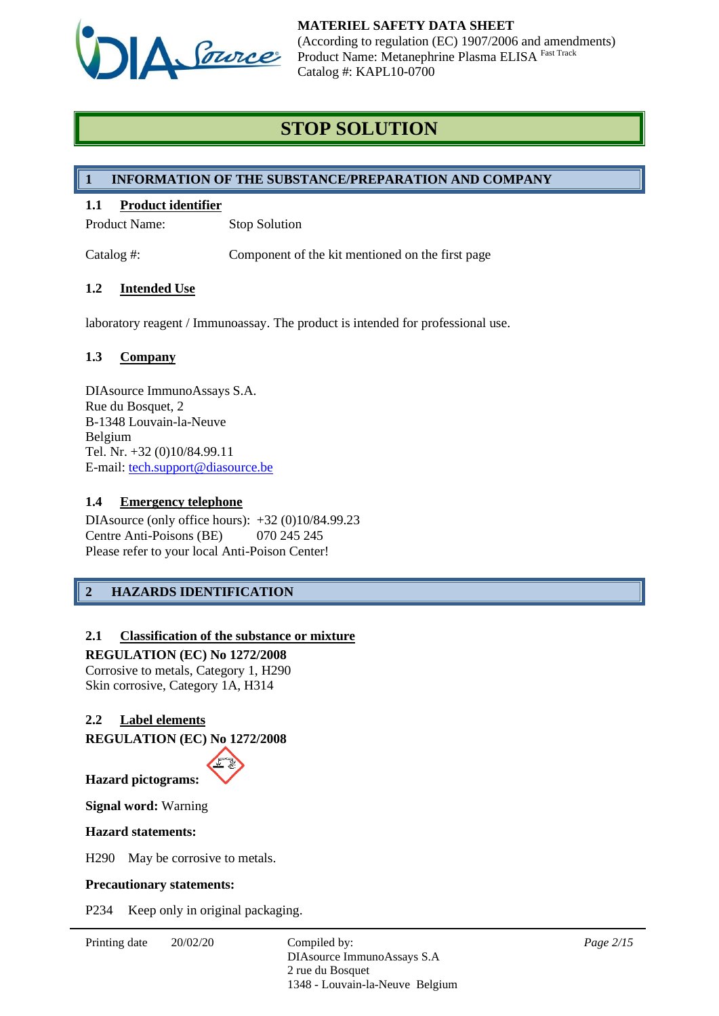

# **STOP SOLUTION**

# **1 INFORMATION OF THE SUBSTANCE/PREPARATION AND COMPANY**

# **1.1 Product identifier**

Product Name: Stop Solution

Catalog #: Component of the kit mentioned on the first page

## **1.2 Intended Use**

laboratory reagent / Immunoassay. The product is intended for professional use.

#### **1.3 Company**

DIAsource ImmunoAssays S.A. Rue du Bosquet, 2 B-1348 Louvain-la-Neuve Belgium Tel. Nr. +32 (0)10/84.99.11 E-mail: [tech.support@diasource.be](mailto:tech.support@diasource.be)

#### **1.4 Emergency telephone**

DIAsource (only office hours): +32 (0)10/84.99.23 Centre Anti-Poisons (BE) 070 245 245 Please refer to your local Anti-Poison Center!

# **2 HAZARDS IDENTIFICATION**

## **2.1 Classification of the substance or mixture**

**REGULATION (EC) No 1272/2008** Corrosive to metals, Category 1, H290 Skin corrosive, Category 1A, H314

## **2.2 Label elements**

**REGULATION (EC) No 1272/2008**



**Signal word:** Warning

#### **Hazard statements:**

H290 May be corrosive to metals.

#### **Precautionary statements:**

P234 Keep only in original packaging.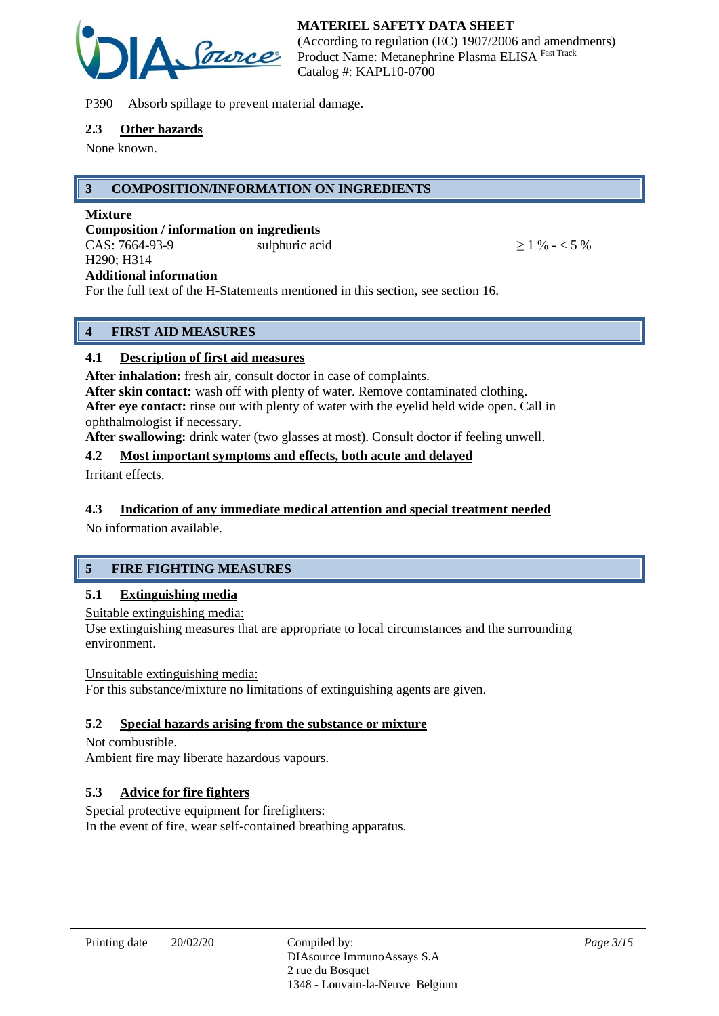

P390 Absorb spillage to prevent material damage.

#### **2.3 Other hazards**

None known.

# **3 COMPOSITION/INFORMATION ON INGREDIENTS**

#### **Mixture**

**Composition / information on ingredients** CAS:  $7664-93-9$  sulphuric acid  $> 1\% - 5\%$ H290; H314 **Additional information**

For the full text of the H-Statements mentioned in this section, see section 16.

# **4 FIRST AID MEASURES**

# **4.1 Description of first aid measures**

**After inhalation:** fresh air, consult doctor in case of complaints.

**After skin contact:** wash off with plenty of water. Remove contaminated clothing. **After eye contact:** rinse out with plenty of water with the eyelid held wide open. Call in ophthalmologist if necessary.

**After swallowing:** drink water (two glasses at most). Consult doctor if feeling unwell.

## **4.2 Most important symptoms and effects, both acute and delayed**

Irritant effects.

# **4.3 Indication of any immediate medical attention and special treatment needed**

No information available.

# **5 FIRE FIGHTING MEASURES**

## **5.1 Extinguishing media**

Suitable extinguishing media:

Use extinguishing measures that are appropriate to local circumstances and the surrounding environment.

## Unsuitable extinguishing media:

For this substance/mixture no limitations of extinguishing agents are given.

## **5.2 Special hazards arising from the substance or mixture**

Not combustible. Ambient fire may liberate hazardous vapours.

## **5.3 Advice for fire fighters**

Special protective equipment for firefighters: In the event of fire, wear self-contained breathing apparatus.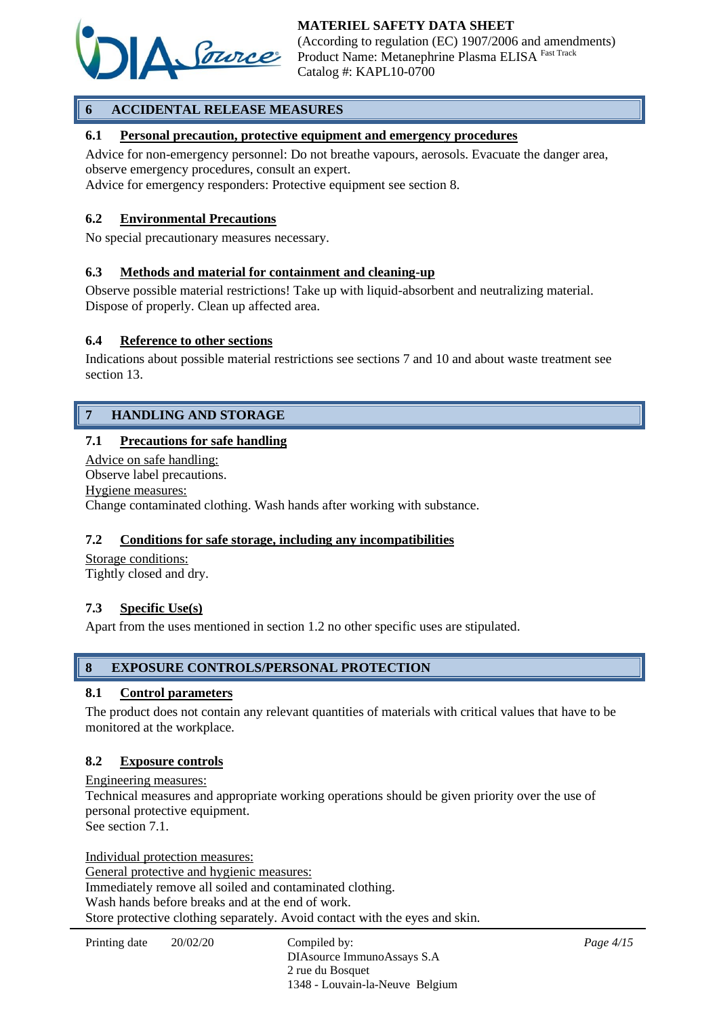

# **6 ACCIDENTAL RELEASE MEASURES**

### **6.1 Personal precaution, protective equipment and emergency procedures**

Advice for non-emergency personnel: Do not breathe vapours, aerosols. Evacuate the danger area, observe emergency procedures, consult an expert.

Advice for emergency responders: Protective equipment see section 8.

#### **6.2 Environmental Precautions**

No special precautionary measures necessary.

#### **6.3 Methods and material for containment and cleaning-up**

Observe possible material restrictions! Take up with liquid-absorbent and neutralizing material. Dispose of properly. Clean up affected area.

#### **6.4 Reference to other sections**

Indications about possible material restrictions see sections 7 and 10 and about waste treatment see section 13.

# **7 HANDLING AND STORAGE**

#### **7.1 Precautions for safe handling**

Advice on safe handling: Observe label precautions. Hygiene measures: Change contaminated clothing. Wash hands after working with substance.

#### **7.2 Conditions for safe storage, including any incompatibilities**

Storage conditions: Tightly closed and dry.

#### **7.3 Specific Use(s)**

Apart from the uses mentioned in section 1.2 no other specific uses are stipulated.

#### **8 EXPOSURE CONTROLS/PERSONAL PROTECTION**

#### **8.1 Control parameters**

The product does not contain any relevant quantities of materials with critical values that have to be monitored at the workplace.

#### **8.2 Exposure controls**

Engineering measures: Technical measures and appropriate working operations should be given priority over the use of personal protective equipment. See section 7.1.

Individual protection measures: General protective and hygienic measures: Immediately remove all soiled and contaminated clothing. Wash hands before breaks and at the end of work. Store protective clothing separately. Avoid contact with the eyes and skin.

DIAsource ImmunoAssays S.A 2 rue du Bosquet 1348 - Louvain-la-Neuve Belgium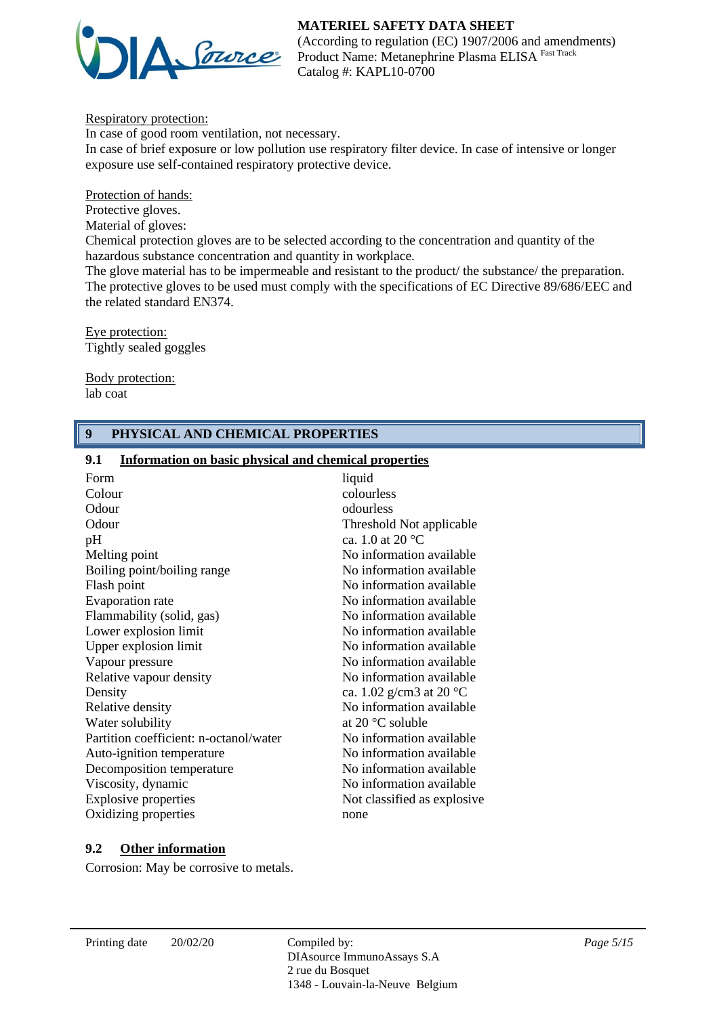

(According to regulation (EC) 1907/2006 and amendments) Product Name: Metanephrine Plasma ELISA Fast Track Catalog #: KAPL10-0700

Respiratory protection:

In case of good room ventilation, not necessary. In case of brief exposure or low pollution use respiratory filter device. In case of intensive or longer exposure use self-contained respiratory protective device.

Protection of hands:

Protective gloves.

Material of gloves:

Chemical protection gloves are to be selected according to the concentration and quantity of the hazardous substance concentration and quantity in workplace.

The glove material has to be impermeable and resistant to the product/ the substance/ the preparation. The protective gloves to be used must comply with the specifications of EC Directive 89/686/EEC and the related standard EN374.

Eye protection: Tightly sealed goggles

Body protection: lab coat

## **9 PHYSICAL AND CHEMICAL PROPERTIES**

#### **9.1 Information on basic physical and chemical properties**

| Form                                   | liquid                            |
|----------------------------------------|-----------------------------------|
| Colour                                 | colourless                        |
| Odour                                  | odourless                         |
| Odour                                  | Threshold Not applicable          |
| pH                                     | ca. 1.0 at 20 $^{\circ}$ C        |
| Melting point                          | No information available          |
| Boiling point/boiling range            | No information available          |
| Flash point                            | No information available          |
| Evaporation rate                       | No information available          |
| Flammability (solid, gas)              | No information available          |
| Lower explosion limit                  | No information available          |
| Upper explosion limit                  | No information available          |
| Vapour pressure                        | No information available          |
| Relative vapour density                | No information available          |
| Density                                | ca. 1.02 g/cm3 at 20 $^{\circ}$ C |
| Relative density                       | No information available          |
| Water solubility                       | at $20^{\circ}$ C soluble         |
| Partition coefficient: n-octanol/water | No information available          |
| Auto-ignition temperature              | No information available          |
| Decomposition temperature              | No information available          |
| Viscosity, dynamic                     | No information available          |
| <b>Explosive properties</b>            | Not classified as explosive.      |
| Oxidizing properties                   | none                              |
|                                        |                                   |

## **9.2 Other information**

Corrosion: May be corrosive to metals.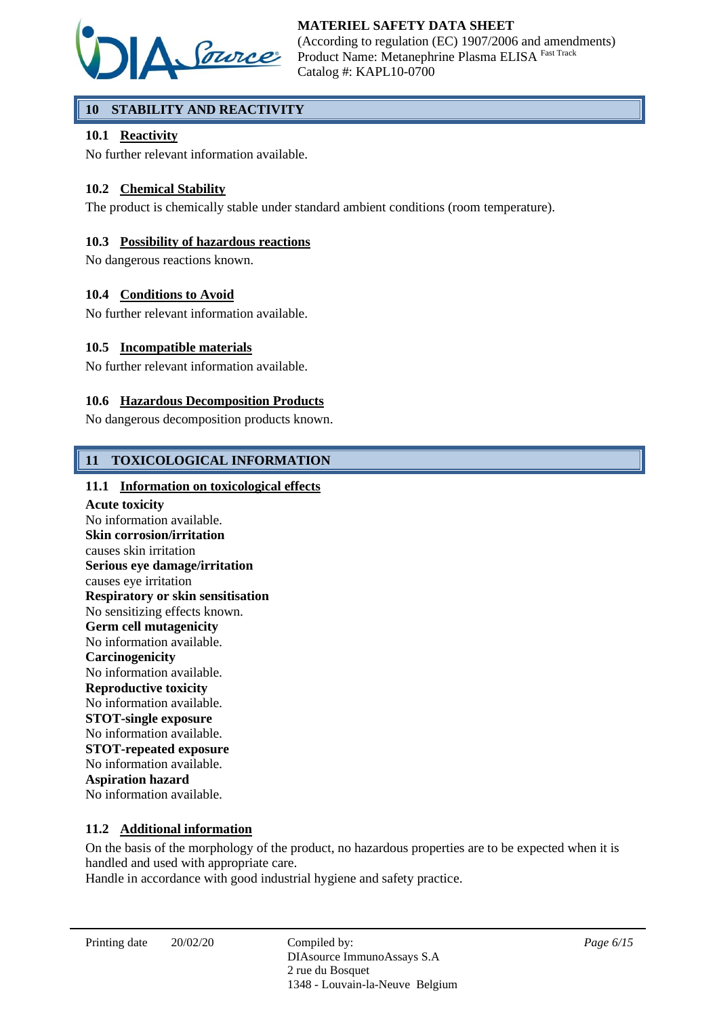

# **10 STABILITY AND REACTIVITY**

## **10.1 Reactivity**

No further relevant information available.

# **10.2 Chemical Stability**

The product is chemically stable under standard ambient conditions (room temperature).

### **10.3 Possibility of hazardous reactions**

No dangerous reactions known.

#### **10.4 Conditions to Avoid**

No further relevant information available.

#### **10.5 Incompatible materials**

No further relevant information available.

#### **10.6 Hazardous Decomposition Products**

No dangerous decomposition products known.

## **11 TOXICOLOGICAL INFORMATION**

#### **11.1 Information on toxicological effects**

**Acute toxicity** No information available. **Skin corrosion/irritation** causes skin irritation **Serious eye damage/irritation** causes eye irritation **Respiratory or skin sensitisation** No sensitizing effects known. **Germ cell mutagenicity** No information available. **Carcinogenicity** No information available. **Reproductive toxicity** No information available. **STOT-single exposure** No information available. **STOT-repeated exposure** No information available. **Aspiration hazard** No information available.

#### **11.2 Additional information**

On the basis of the morphology of the product, no hazardous properties are to be expected when it is handled and used with appropriate care.

Handle in accordance with good industrial hygiene and safety practice.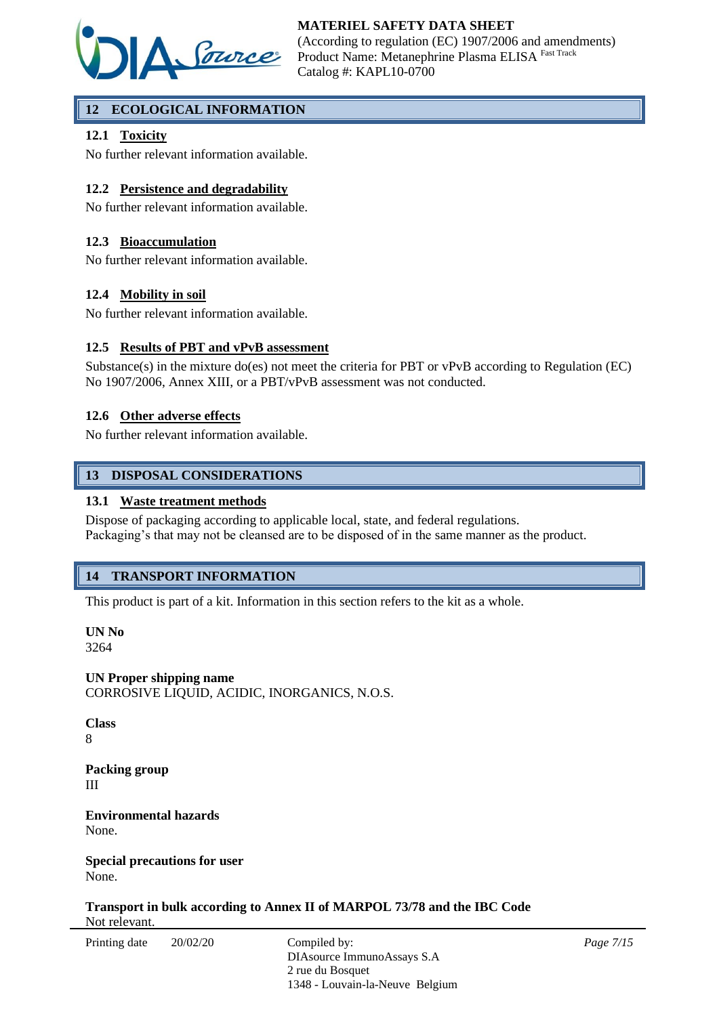

# **12 ECOLOGICAL INFORMATION**

# **12.1 Toxicity**

No further relevant information available.

## **12.2 Persistence and degradability**

No further relevant information available.

### **12.3 Bioaccumulation**

No further relevant information available.

#### **12.4 Mobility in soil**

No further relevant information available.

#### **12.5 Results of PBT and vPvB assessment**

Substance(s) in the mixture do(es) not meet the criteria for PBT or vPvB according to Regulation (EC) No 1907/2006, Annex XIII, or a PBT/vPvB assessment was not conducted.

#### **12.6 Other adverse effects**

No further relevant information available.

#### **13 DISPOSAL CONSIDERATIONS**

#### **13.1 Waste treatment methods**

Dispose of packaging according to applicable local, state, and federal regulations. Packaging's that may not be cleansed are to be disposed of in the same manner as the product.

## **14 TRANSPORT INFORMATION**

This product is part of a kit. Information in this section refers to the kit as a whole.

**UN No** 3264

**UN Proper shipping name** CORROSIVE LIQUID, ACIDIC, INORGANICS, N.O.S.

**Class** 8

**Packing group** III

**Environmental hazards** None.

**Special precautions for user** None.

**Transport in bulk according to Annex II of MARPOL 73/78 and the IBC Code** Not relevant.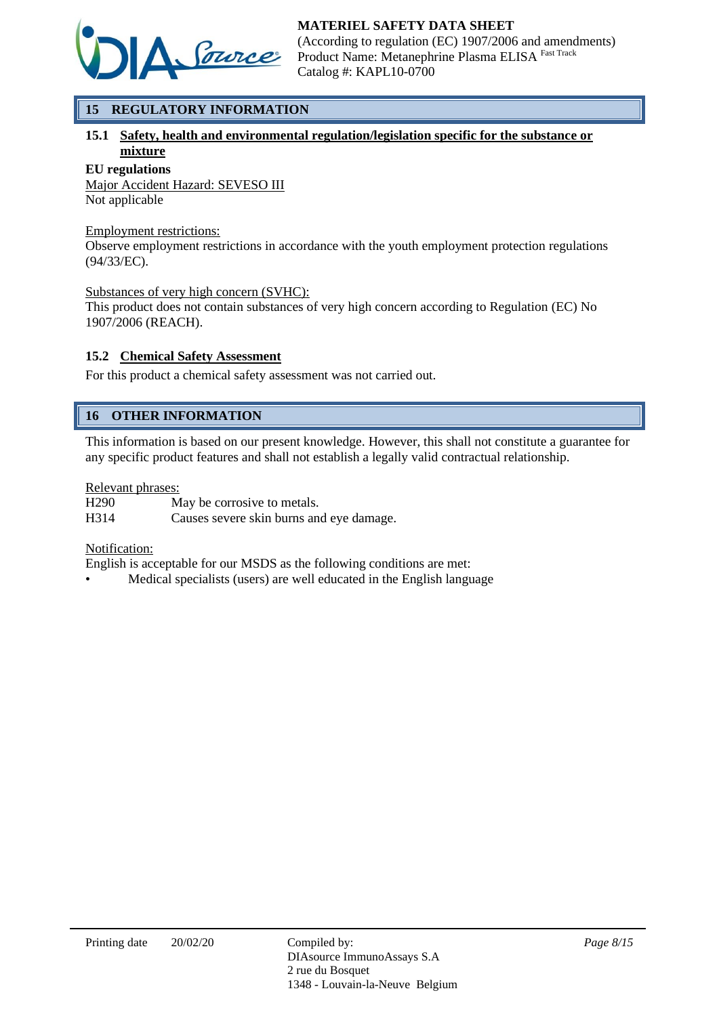

# **15 REGULATORY INFORMATION**

# **15.1 Safety, health and environmental regulation/legislation specific for the substance or mixture**

#### **EU regulations**

Major Accident Hazard: SEVESO III Not applicable

#### Employment restrictions:

Observe employment restrictions in accordance with the youth employment protection regulations (94/33/EC).

#### Substances of very high concern (SVHC):

This product does not contain substances of very high concern according to Regulation (EC) No 1907/2006 (REACH).

## **15.2 Chemical Safety Assessment**

For this product a chemical safety assessment was not carried out.

# **16 OTHER INFORMATION**

This information is based on our present knowledge. However, this shall not constitute a guarantee for any specific product features and shall not establish a legally valid contractual relationship.

#### Relevant phrases:

H290 May be corrosive to metals. H314 Causes severe skin burns and eye damage.

#### Notification:

English is acceptable for our MSDS as the following conditions are met:

• Medical specialists (users) are well educated in the English language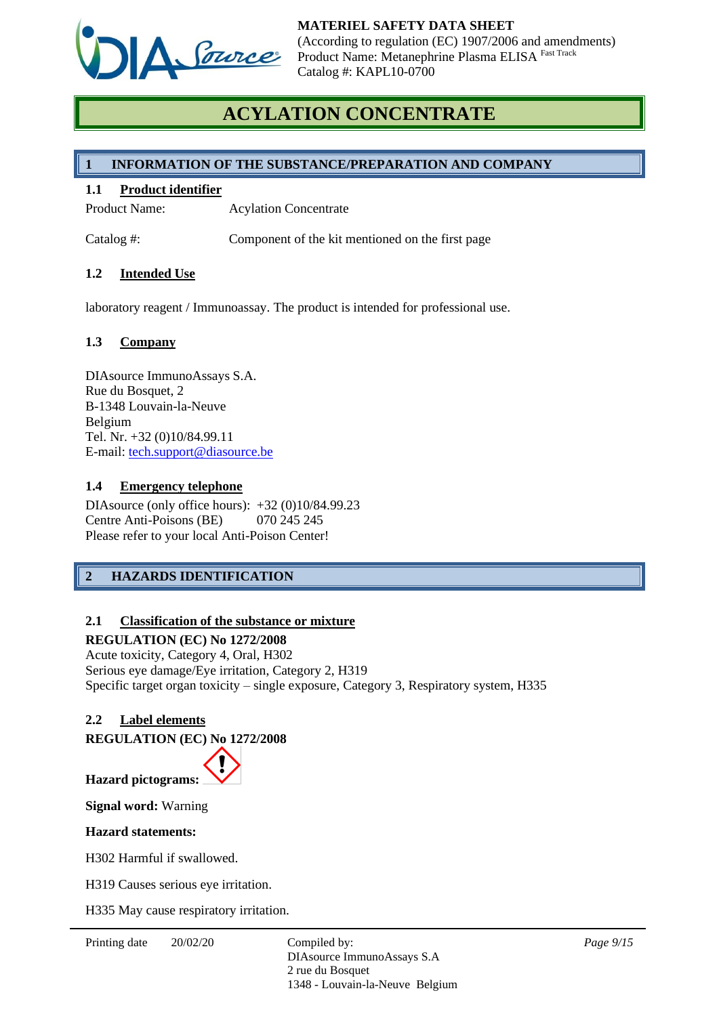

# **ACYLATION CONCENTRATE**

# **1 INFORMATION OF THE SUBSTANCE/PREPARATION AND COMPANY**

### **1.1 Product identifier**

Product Name: Acylation Concentrate

Catalog #: Component of the kit mentioned on the first page

#### **1.2 Intended Use**

laboratory reagent / Immunoassay. The product is intended for professional use.

#### **1.3 Company**

DIAsource ImmunoAssays S.A. Rue du Bosquet, 2 B-1348 Louvain-la-Neuve Belgium Tel. Nr. +32 (0)10/84.99.11 E-mail: [tech.support@diasource.be](mailto:tech.support@diasource.be)

#### **1.4 Emergency telephone**

DIAsource (only office hours): +32 (0)10/84.99.23 Centre Anti-Poisons (BE) 070 245 245 Please refer to your local Anti-Poison Center!

# **2 HAZARDS IDENTIFICATION**

## **2.1 Classification of the substance or mixture**

### **REGULATION (EC) No 1272/2008**

Acute toxicity, Category 4, Oral, H302 Serious eye damage/Eye irritation, Category 2, H319 Specific target organ toxicity – single exposure, Category 3, Respiratory system, H335

## **2.2 Label elements**

**REGULATION (EC) No 1272/2008**

**Hazard pictograms:**

**Signal word:** Warning

#### **Hazard statements:**

H302 Harmful if swallowed.

H319 Causes serious eye irritation.

H335 May cause respiratory irritation.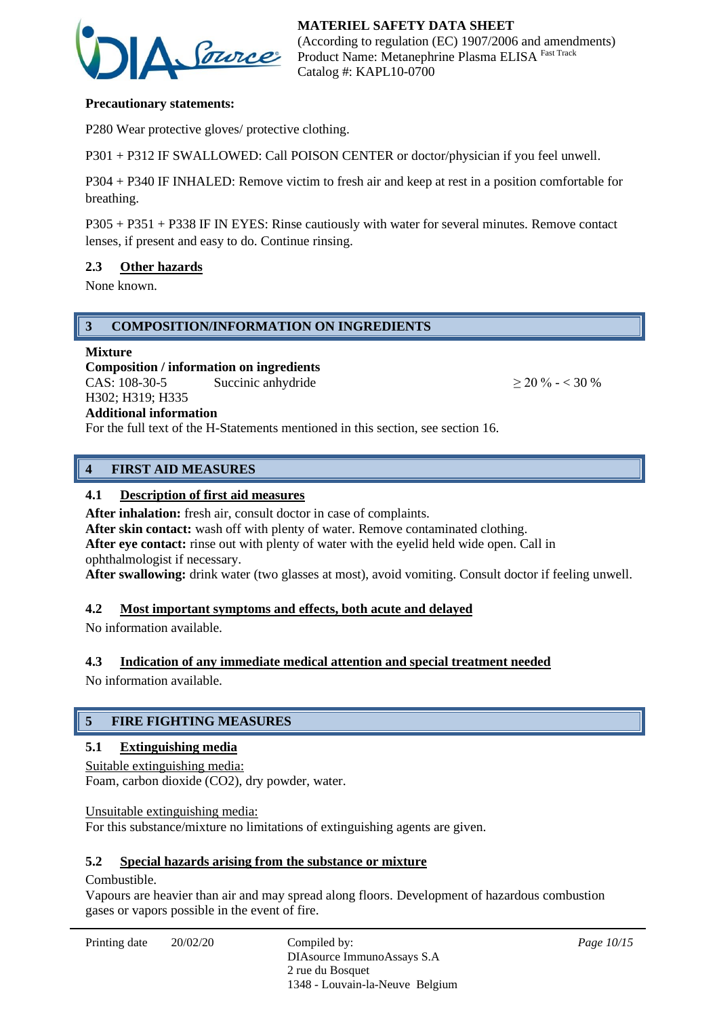

### **Precautionary statements:**

P280 Wear protective gloves/ protective clothing.

P301 + P312 IF SWALLOWED: Call POISON CENTER or doctor/physician if you feel unwell.

P304 + P340 IF INHALED: Remove victim to fresh air and keep at rest in a position comfortable for breathing.

P305 + P351 + P338 IF IN EYES: Rinse cautiously with water for several minutes. Remove contact lenses, if present and easy to do. Continue rinsing.

#### **2.3 Other hazards**

None known.

#### **3 COMPOSITION/INFORMATION ON INGREDIENTS**

#### **Mixture**

**Composition / information on ingredients** CAS:  $108-30-5$  Succinic anhydride  $> 20 \% - < 30 \%$ H302; H319; H335

## **Additional information**

For the full text of the H-Statements mentioned in this section, see section 16.

## **4 FIRST AID MEASURES**

#### **4.1 Description of first aid measures**

After inhalation: fresh air, consult doctor in case of complaints.

After skin contact: wash off with plenty of water. Remove contaminated clothing.

**After eye contact:** rinse out with plenty of water with the eyelid held wide open. Call in ophthalmologist if necessary.

**After swallowing:** drink water (two glasses at most), avoid vomiting. Consult doctor if feeling unwell.

#### **4.2 Most important symptoms and effects, both acute and delayed**

No information available.

#### **4.3 Indication of any immediate medical attention and special treatment needed**

No information available.

## **5 FIRE FIGHTING MEASURES**

#### **5.1 Extinguishing media**

Suitable extinguishing media: Foam, carbon dioxide (CO2), dry powder, water.

Unsuitable extinguishing media: For this substance/mixture no limitations of extinguishing agents are given.

#### **5.2 Special hazards arising from the substance or mixture**

#### Combustible.

Vapours are heavier than air and may spread along floors. Development of hazardous combustion gases or vapors possible in the event of fire.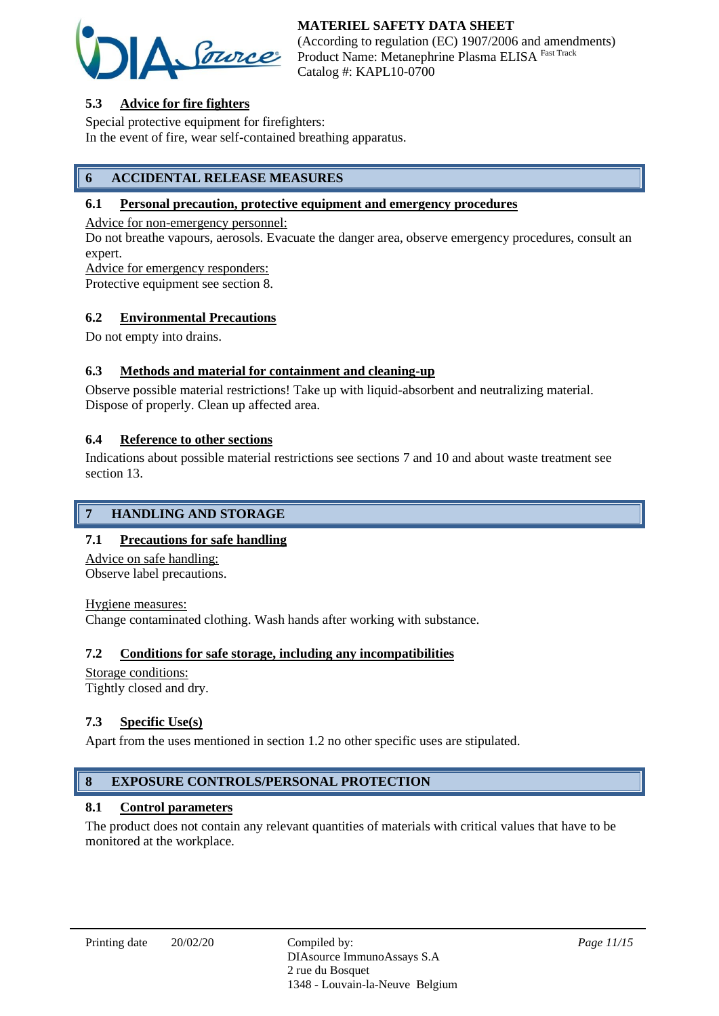

(According to regulation (EC) 1907/2006 and amendments) Product Name: Metanephrine Plasma ELISA Fast Track Catalog #: KAPL10-0700

# **5.3 Advice for fire fighters**

Special protective equipment for firefighters: In the event of fire, wear self-contained breathing apparatus.

# **6 ACCIDENTAL RELEASE MEASURES**

#### **6.1 Personal precaution, protective equipment and emergency procedures**

Advice for non-emergency personnel:

Do not breathe vapours, aerosols. Evacuate the danger area, observe emergency procedures, consult an expert.

Advice for emergency responders:

Protective equipment see section 8.

#### **6.2 Environmental Precautions**

Do not empty into drains.

## **6.3 Methods and material for containment and cleaning-up**

Observe possible material restrictions! Take up with liquid-absorbent and neutralizing material. Dispose of properly. Clean up affected area.

#### **6.4 Reference to other sections**

Indications about possible material restrictions see sections 7 and 10 and about waste treatment see section 13.

# **7 HANDLING AND STORAGE**

## **7.1 Precautions for safe handling**

Advice on safe handling: Observe label precautions.

Hygiene measures:

Change contaminated clothing. Wash hands after working with substance.

## **7.2 Conditions for safe storage, including any incompatibilities**

Storage conditions: Tightly closed and dry.

## **7.3 Specific Use(s)**

Apart from the uses mentioned in section 1.2 no other specific uses are stipulated.

# **8 EXPOSURE CONTROLS/PERSONAL PROTECTION**

#### **8.1 Control parameters**

The product does not contain any relevant quantities of materials with critical values that have to be monitored at the workplace.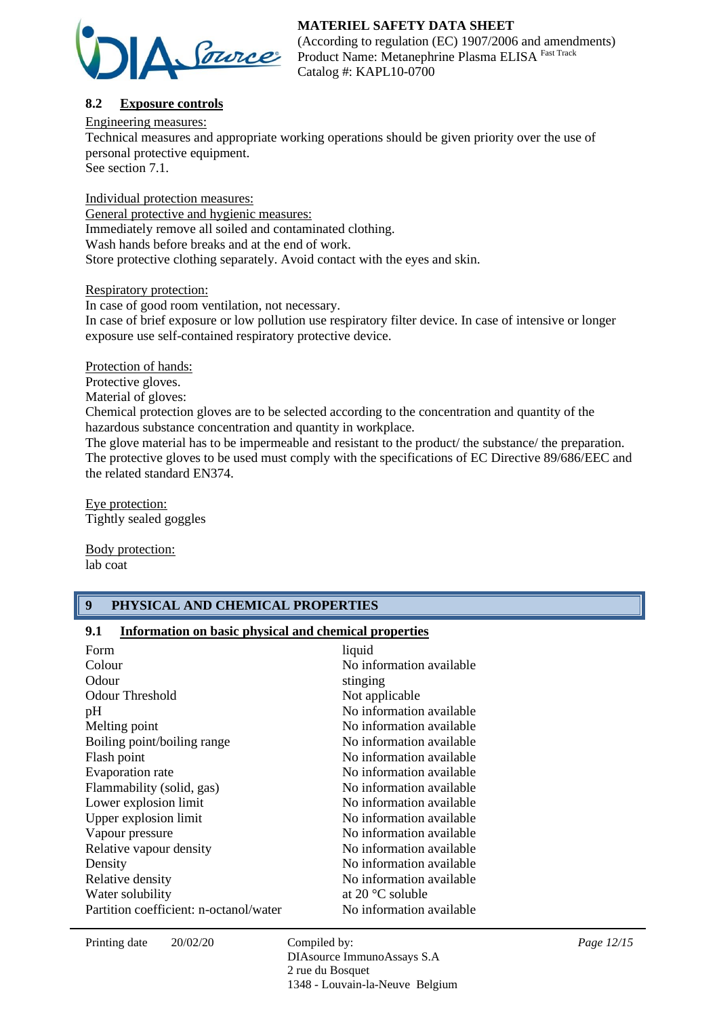

(According to regulation (EC) 1907/2006 and amendments) Product Name: Metanephrine Plasma ELISA Fast Track Catalog #: KAPL10-0700

# **8.2 Exposure controls**

Engineering measures:

Technical measures and appropriate working operations should be given priority over the use of personal protective equipment.

See section 7.1.

Individual protection measures: General protective and hygienic measures: Immediately remove all soiled and contaminated clothing. Wash hands before breaks and at the end of work. Store protective clothing separately. Avoid contact with the eyes and skin.

Respiratory protection:

In case of good room ventilation, not necessary. In case of brief exposure or low pollution use respiratory filter device. In case of intensive or longer exposure use self-contained respiratory protective device.

Protection of hands:

Protective gloves.

Material of gloves:

Chemical protection gloves are to be selected according to the concentration and quantity of the hazardous substance concentration and quantity in workplace.

The glove material has to be impermeable and resistant to the product/ the substance/ the preparation. The protective gloves to be used must comply with the specifications of EC Directive 89/686/EEC and the related standard EN374.

Eye protection: Tightly sealed goggles

Body protection: lab coat

## **9 PHYSICAL AND CHEMICAL PROPERTIES**

# **9.1 Information on basic physical and chemical properties**

| Form<br>Colour<br>Odour                         | liquid<br>No information available                                                |
|-------------------------------------------------|-----------------------------------------------------------------------------------|
| <b>Odour Threshold</b><br>pH                    | stinging<br>Not applicable<br>No information available                            |
| Melting point<br>Boiling point/boiling range    | No information available<br>No information available                              |
| Flash point<br>Evaporation rate                 | No information available<br>No information available                              |
| Flammability (solid, gas)                       | No information available<br>No information available                              |
| Lower explosion limit<br>Upper explosion limit  | No information available                                                          |
| Vapour pressure<br>Relative vapour density      | No information available<br>No information available                              |
| Density<br>Relative density<br>Water solubility | No information available<br>No information available<br>at 20 $\degree$ C soluble |
| Partition coefficient: n-octanol/water          | No information available                                                          |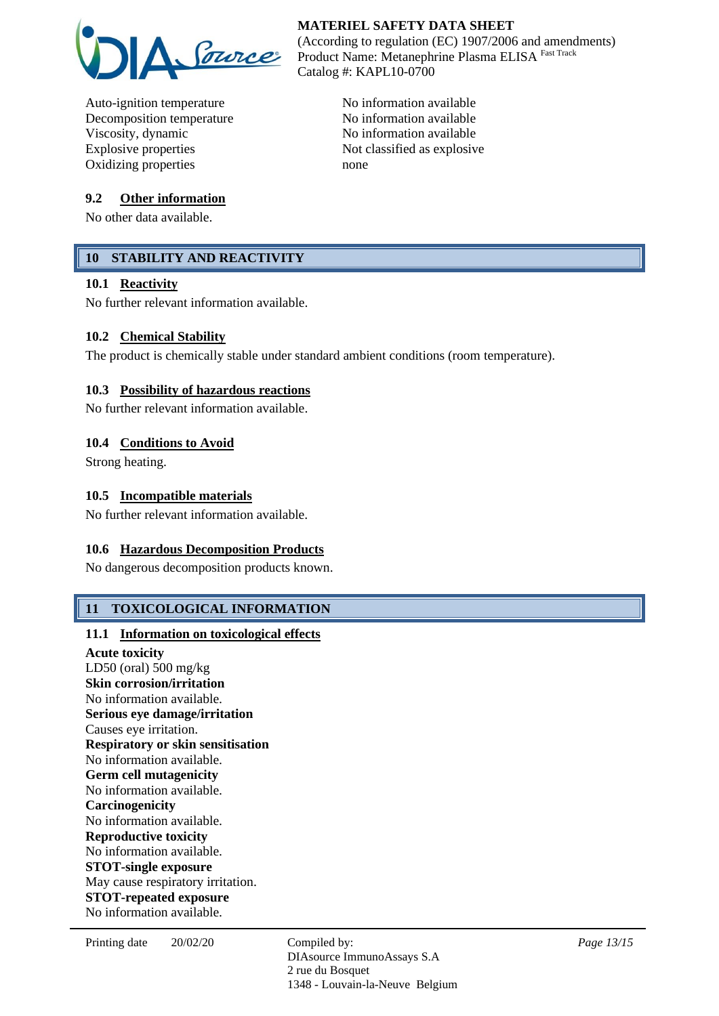

Auto-ignition temperature No information available Decomposition temperature No information available Viscosity, dynamic No information available Explosive properties Not classified as explosive Oxidizing properties none

### **9.2 Other information**

No other data available.

# **10 STABILITY AND REACTIVITY**

#### **10.1 Reactivity**

No further relevant information available.

#### **10.2 Chemical Stability**

The product is chemically stable under standard ambient conditions (room temperature).

#### **10.3 Possibility of hazardous reactions**

No further relevant information available.

#### **10.4 Conditions to Avoid**

Strong heating.

#### **10.5 Incompatible materials**

No further relevant information available.

#### **10.6 Hazardous Decomposition Products**

No dangerous decomposition products known.

## **11 TOXICOLOGICAL INFORMATION**

#### **11.1 Information on toxicological effects**

**Acute toxicity** LD50 (oral) 500 mg/kg **Skin corrosion/irritation** No information available. **Serious eye damage/irritation** Causes eye irritation. **Respiratory or skin sensitisation** No information available. **Germ cell mutagenicity** No information available. **Carcinogenicity** No information available. **Reproductive toxicity** No information available. **STOT-single exposure** May cause respiratory irritation. **STOT-repeated exposure** No information available.

*Page 13/15*

**MATERIEL SAFETY DATA SHEET** (According to regulation (EC) 1907/2006 and amendments) Product Name: Metanephrine Plasma ELISA Fast Track Catalog #: KAPL10-0700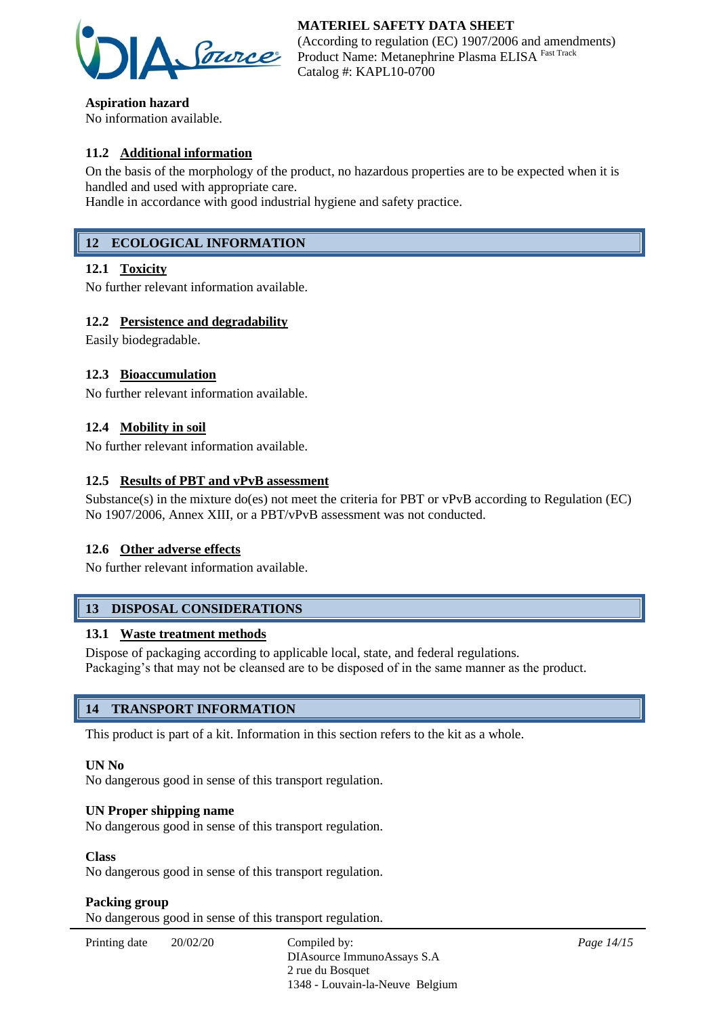

**Aspiration hazard** No information available.

# **11.2 Additional information**

On the basis of the morphology of the product, no hazardous properties are to be expected when it is handled and used with appropriate care.

Handle in accordance with good industrial hygiene and safety practice.

# **12 ECOLOGICAL INFORMATION**

#### **12.1 Toxicity**

No further relevant information available.

#### **12.2 Persistence and degradability**

Easily biodegradable.

#### **12.3 Bioaccumulation**

No further relevant information available.

### **12.4 Mobility in soil**

No further relevant information available.

#### **12.5 Results of PBT and vPvB assessment**

Substance(s) in the mixture do(es) not meet the criteria for PBT or vPvB according to Regulation (EC) No 1907/2006, Annex XIII, or a PBT/vPvB assessment was not conducted.

#### **12.6 Other adverse effects**

No further relevant information available.

# **13 DISPOSAL CONSIDERATIONS**

#### **13.1 Waste treatment methods**

Dispose of packaging according to applicable local, state, and federal regulations. Packaging's that may not be cleansed are to be disposed of in the same manner as the product.

## **14 TRANSPORT INFORMATION**

This product is part of a kit. Information in this section refers to the kit as a whole.

#### **UN No**

No dangerous good in sense of this transport regulation.

#### **UN Proper shipping name**

No dangerous good in sense of this transport regulation.

#### **Class**

No dangerous good in sense of this transport regulation.

#### **Packing group**

No dangerous good in sense of this transport regulation.

| Printing date | 20/02/20 | Compiled by:<br>DIAsource ImmunoAssays S.A |
|---------------|----------|--------------------------------------------|
|               |          | 2 rue du Bosquet                           |
|               |          | 1348 - Louvain-la-Neuve Belgium            |